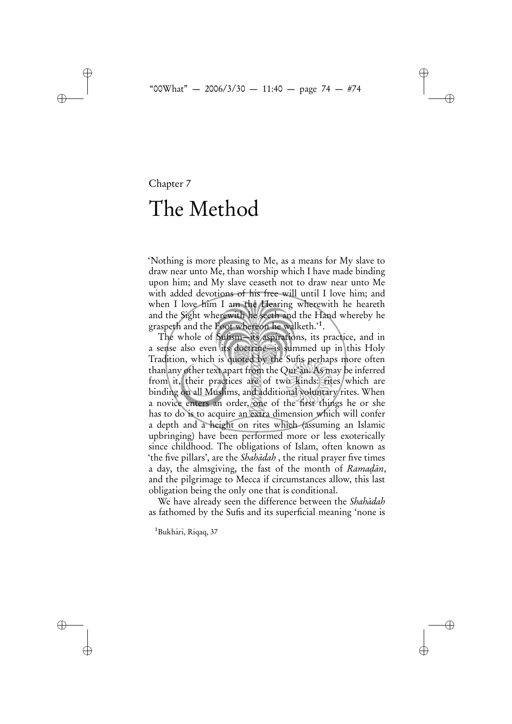## Chapter 7 The Method

'Nothing is more pleasing to Me, as a means for My slave to draw near unto Me, than worship which I have made binding upon him; and My slave ceaseth not to draw near unto Me with added devotions of his free will until I love him; and when I love him I am the Hearing wherewith he heareth and the Sight wherewith he seeth and the Hand whereby he graspeth and the Foot whereon he walketh.'1.

The whole of Sufism—its aspirations, its practice, and in a sense also even its doctrine—is summed up in this Holy Tradition, which is quoted by the Sufis perhaps more often than any other text apart from the Qur'an. As may be inferred from it, their practices are of two kinds: rites which are binding on all Muslims, and additional voluntary rites. When a novice enters an order, one of the first things he or she has to do is to acquire an extra dimension which will confer a depth and a height on rites which (assuming an Islamic upbringing) have been performed more or less exoterically since childhood. The obligations of Islam, often known as 'the five pillars', are the *Shahādah*, the ritual prayer five times a day, the almsgiving, the fast of the month of *Ramadan*, and the pilgrimage to Mecca if circumstances allow, this last obligation being the only one that is conditional.

We have already seen the difference between the *Shahadah* as fathomed by the Sufis and its superficial meaning 'none is

<sup>1</sup>Bukhārī, Riqaq, 37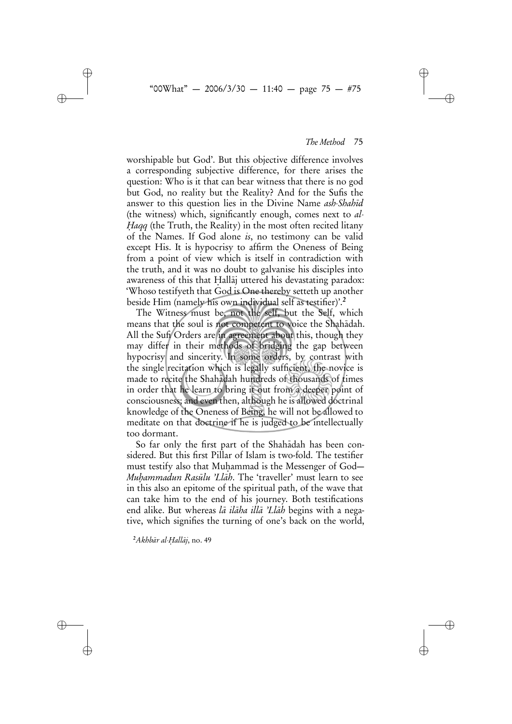worshipable but God'. But this objective difference involves a corresponding subjective difference, for there arises the question: Who is it that can bear witness that there is no god but God, no reality but the Reality? And for the Sufis the answer to this question lies in the Divine Name *ash-Shahīd* (the witness) which, significantly enough, comes next to *al-Hagq* (the Truth, the Reality) in the most often recited litany of the Names. If God alone *is*, no testimony can be valid except His. It is hypocrisy to affirm the Oneness of Being from a point of view which is itself in contradiction with the truth, and it was no doubt to galvanise his disciples into awareness of this that Hallaj uttered his devastating paradox: 'Whoso testifyeth that God is One thereby setteth up another beside Him (namely his own individual self as testifier)'.<sup>2</sup>

The Witness must be, not the self, but the Self, which means that the soul is not competent to voice the Shahadah. All the Sufi Orders are in agreement about this, though they may differ in their methods of bridging the gap between hypocrisy and sincerity. In some orders, by contrast with the single recitation which is legally sufficient, the novice is made to recite the Shahādah hundreds of thousands of times in order that he learn to bring it out from a deeper point of consciousness; and even then, although he is allowed doctrinal knowledge of the Oneness of Being, he will not be allowed to meditate on that doctrine if he is judged to be intellectually too dormant.

So far only the first part of the Shahadah has been considered. But this first Pillar of Islam is two-fold. The testifier must testify also that Muhammad is the Messenger of God— *Muhammadun Rasūlu 'Llāh*. The 'traveller' must learn to see in this also an epitome of the spiritual path, of the wave that can take him to the end of his journey. Both testifications end alike. But whereas *lā ilāha illā 'Llāh* begins with a negative, which signifies the turning of one's back on the world,

<sup>2</sup>Akhbār al-Ḥallāj, no. 49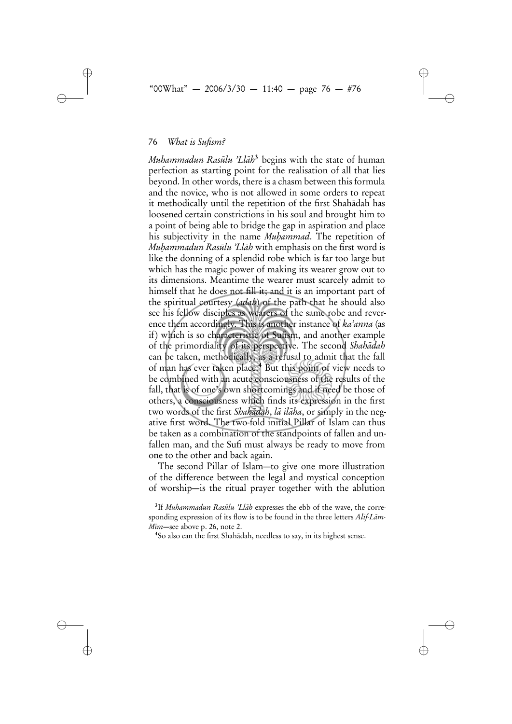## 76 *What is Sufism?*

*Muhammadun Rasūlu 'Llāh*<sup>3</sup> begins with the state of human perfection as starting point for the realisation of all that lies beyond. In other words, there is a chasm between this formula and the novice, who is not allowed in some orders to repeat it methodically until the repetition of the first Shahādah has loosened certain constrictions in his soul and brought him to a point of being able to bridge the gap in aspiration and place his subjectivity in the name *Muhammad*. The repetition of *Muhammadun Rasūlu 'Llāh* with emphasis on the first word is like the donning of a splendid robe which is far too large but which has the magic power of making its wearer grow out to its dimensions. Meantime the wearer must scarcely admit to himself that he does not fill it; and it is an important part of the spiritual courtesy (*adab*) of the path that he should also see his fellow disciples as wearers of the same robe and reverence them accordingly. This is another instance of *ka'anna* (as if) which is so characteristic of Sufism, and another example of the primordiality of its perspective. The second *Shahadah* can be taken, methodically, as a refusal to admit that the fall of man has ever taken place.<sup>4</sup> But this point of view needs to be combined with an acute consciousness of the results of the fall, that is of one's own shortcomings and if need be those of others, a consciousness which finds its expression in the first two words of the first *Shahādah*, *lā ilāha*, or simply in the negative first word. The two-fold initial Pillar of Islam can thus be taken as a combination of the standpoints of fallen and unfallen man, and the Sufi must always be ready to move from one to the other and back again.

The second Pillar of Islam—to give one more illustration of the difference between the legal and mystical conception of worship—is the ritual prayer together with the ablution

<sup>3</sup>If *Muhammadun Rasulu 'Llah* expresses the ebb of the wave, the corresponding expression of its flow is to be found in the three letters *Alif-Lam-Mīm*—see above p. 26, note 2.

<sup>4</sup>So also can the first Shahādah, needless to say, in its highest sense.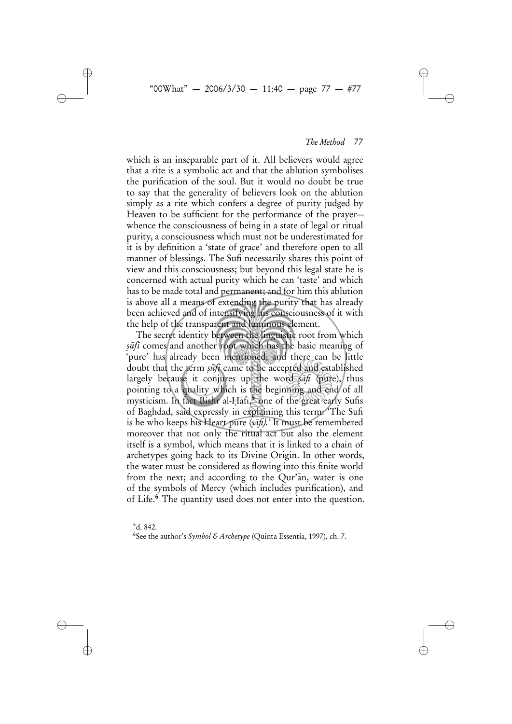which is an inseparable part of it. All believers would agree that a rite is a symbolic act and that the ablution symbolises the purification of the soul. But it would no doubt be true to say that the generality of believers look on the ablution simply as a rite which confers a degree of purity judged by Heaven to be sufficient for the performance of the prayer whence the consciousness of being in a state of legal or ritual purity, a consciousness which must not be underestimated for it is by definition a 'state of grace' and therefore open to all manner of blessings. The Sufi necessarily shares this point of view and this consciousness; but beyond this legal state he is concerned with actual purity which he can 'taste' and which has to be made total and permanent; and for him this ablution is above all a means of extending the purity that has already been achieved and of intensifying his consciousness of it with the help of the transparent and luminous element.

The secret identity between the linguistic root from which *sūfī* comes and another root which has the basic meaning of 'pure' has already been mentioned; and there can be little doubt that the term *sufi* came to be accepted and established largely because it conjures up the word *safi* (pure), thus pointing to a quality which is the beginning and end of all mysticism. In fact Bishr al-H $\tilde{a}$ fi, $\tilde{5}$  one of the great early Sufis of Baghdad, said expressly in explaining this term: 'The Sufi is he who keeps his Heart pure (saft).' It must be remembered moreover that not only the ritual act but also the element itself is a symbol, which means that it is linked to a chain of archetypes going back to its Divine Origin. In other words, the water must be considered as flowing into this finite world from the next; and according to the Qur'an, water is one of the symbols of Mercy (which includes purification), and of Life.<sup>6</sup> The quantity used does not enter into the question.

5 d. 842.

6 See the author's *Symbol & Archetype* (Quinta Essentia, 1997), ch. 7.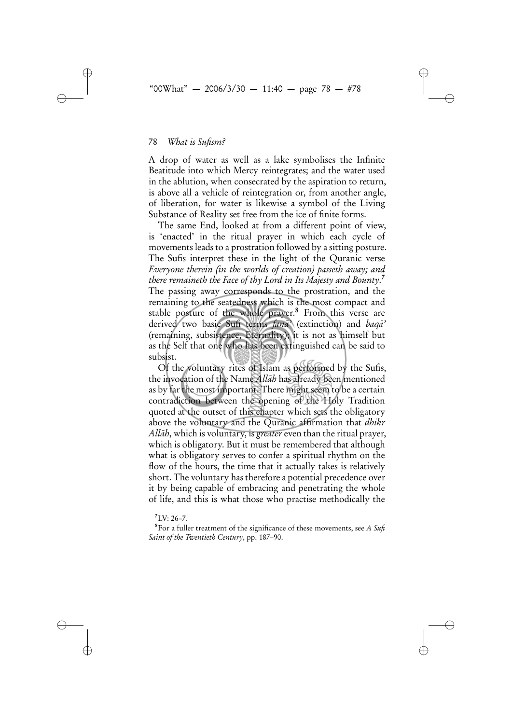A drop of water as well as a lake symbolises the Infinite Beatitude into which Mercy reintegrates; and the water used in the ablution, when consecrated by the aspiration to return, is above all a vehicle of reintegration or, from another angle, of liberation, for water is likewise a symbol of the Living Substance of Reality set free from the ice of finite forms.

The same End, looked at from a different point of view, is 'enacted' in the ritual prayer in which each cycle of movements leads to a prostration followed by a sitting posture. The Sufis interpret these in the light of the Quranic verse *Everyone therein (in the worlds of creation) passeth away; and there remaineth the Face of thy Lord in Its Majesty and Bounty*. 7 The passing away corresponds to the prostration, and the remaining to the seatedness which is the most compact and stable posture of the whole prayer.<sup>8</sup> From this verse are derived two basic Sufi terms *fana*' (extinction) and *baqa*' (remaining, subsistence, Eternality); it is not as himself but as the Self that one who has been extinguished can be said to subsist.

Of the voluntary rites of Islam as performed by the Sufis, the invocation of the Name *Allah* has already been mentioned as by far the most important. There might seem to be a certain contradiction between the opening of the Holy Tradition quoted at the outset of this chapter which sets the obligatory above the voluntary and the Quranic affirmation that *dhikr Allāh*, which is voluntary, is *greater* even than the ritual prayer, which is obligatory. But it must be remembered that although what is obligatory serves to confer a spiritual rhythm on the flow of the hours, the time that it actually takes is relatively short. The voluntary has therefore a potential precedence over it by being capable of embracing and penetrating the whole of life, and this is what those who practise methodically the

## $\mathrm{^{7}LV:26-7}.$

8 For a fuller treatment of the significance of these movements, see *A Sufi Saint of the Twentieth Century*, pp. 187–90.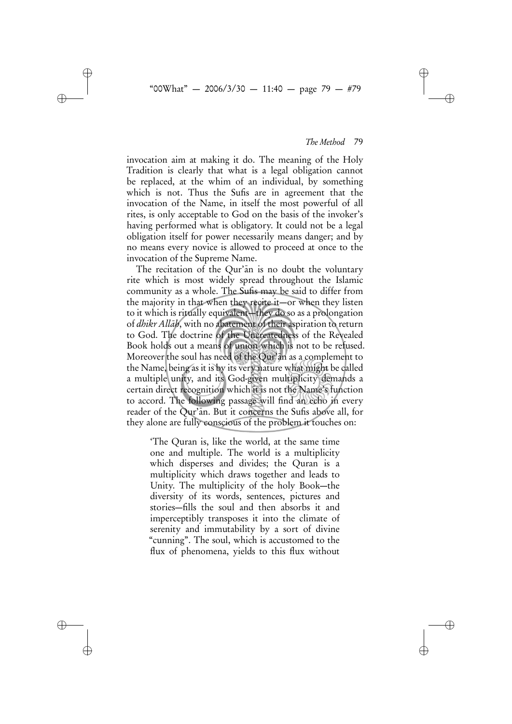invocation aim at making it do. The meaning of the Holy Tradition is clearly that what is a legal obligation cannot be replaced, at the whim of an individual, by something which is not. Thus the Sufis are in agreement that the invocation of the Name, in itself the most powerful of all rites, is only acceptable to God on the basis of the invoker's having performed what is obligatory. It could not be a legal obligation itself for power necessarily means danger; and by no means every novice is allowed to proceed at once to the invocation of the Supreme Name.

The recitation of the Qur'an is no doubt the voluntary rite which is most widely spread throughout the Islamic community as a whole. The Sufis may be said to differ from the majority in that when they recite it—or when they listen to it which is ritually equivalent—they do so as a prolongation of *dhikr Allah*, with no abatement of their aspiration to return to God. The doctrine of the Uncreatedness of the Revealed Book holds out a means of union which is not to be refused. Moreover the soul has need of the Qur'an as a complement to the Name, being as it is by its very nature what might be called a multiple unity, and its God-given multiplicity demands a certain direct recognition which it is not the Name's function to accord. The following passage will find an echo in every reader of the Qur'an. But it concerns the Sufis above all, for they alone are fully conscious of the problem it touches on:

'The Quran is, like the world, at the same time one and multiple. The world is a multiplicity which disperses and divides; the Quran is a multiplicity which draws together and leads to Unity. The multiplicity of the holy Book—the diversity of its words, sentences, pictures and stories—fills the soul and then absorbs it and imperceptibly transposes it into the climate of serenity and immutability by a sort of divine "cunning". The soul, which is accustomed to the flux of phenomena, yields to this flux without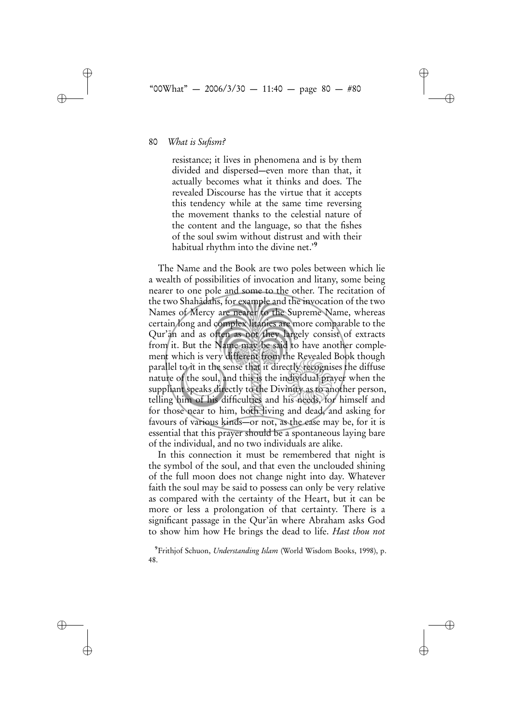resistance; it lives in phenomena and is by them divided and dispersed—even more than that, it actually becomes what it thinks and does. The revealed Discourse has the virtue that it accepts this tendency while at the same time reversing the movement thanks to the celestial nature of the content and the language, so that the fishes of the soul swim without distrust and with their habitual rhythm into the divine net.'9

The Name and the Book are two poles between which lie a wealth of possibilities of invocation and litany, some being nearer to one pole and some to the other. The recitation of the two Shahādahs, for example and the invocation of the two Names of Mercy are nearer to the Supreme Name, whereas certain long and complex litanies are more comparable to the Qur'an and as often as not they largely consist of extracts from it. But the Name may be said to have another complement which is very different from the Revealed Book though parallel to it in the sense that it directly recognises the diffuse nature of the soul, and this is the individual prayer when the suppliant speaks directly to the Divinity as to another person, telling him of his difficulties and his needs, for himself and for those near to him, both living and dead, and asking for favours of various kinds—or not, as the case may be, for it is essential that this prayer should be a spontaneous laying bare of the individual, and no two individuals are alike.

In this connection it must be remembered that night is the symbol of the soul, and that even the unclouded shining of the full moon does not change night into day. Whatever faith the soul may be said to possess can only be very relative as compared with the certainty of the Heart, but it can be more or less a prolongation of that certainty. There is a significant passage in the Qur'an where Abraham asks God to show him how He brings the dead to life. *Hast thou not*

9 Frithjof Schuon, *Understanding Islam* (World Wisdom Books, 1998), p. 48.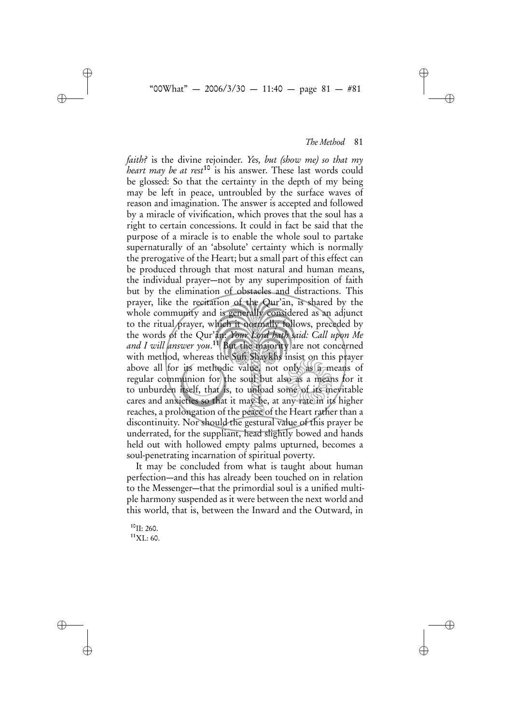*faith?* is the divine rejoinder. *Yes, but (show me) so that my heart may be at rest*<sup>10</sup> is his answer. These last words could be glossed: So that the certainty in the depth of my being may be left in peace, untroubled by the surface waves of reason and imagination. The answer is accepted and followed by a miracle of vivification, which proves that the soul has a right to certain concessions. It could in fact be said that the purpose of a miracle is to enable the whole soul to partake supernaturally of an 'absolute' certainty which is normally the prerogative of the Heart; but a small part of this effect can be produced through that most natural and human means, the individual prayer—not by any superimposition of faith but by the elimination of obstacles and distractions. This prayer, like the recitation of the Qur'an, is shared by the whole community and is generally considered as an adjunct to the ritual prayer, which it normally follows, preceded by the words of the Qur'an: Your Lord hath said: Call upon Me and I will answer you.<sup>11</sup> But the majority are not concerned with method, whereas the Sufi Shaykhs insist on this prayer above all for its methodic value, not only as a means of regular communion for the soul but also as a means for it to unburden itself, that is, to unload some of its inevitable cares and anxieties so that it may be, at any rate in its higher reaches, a prolongation of the peace of the Heart rather than a discontinuity. Nor should the gestural value of this prayer be underrated, for the suppliant, head slightly bowed and hands held out with hollowed empty palms upturned, becomes a soul-penetrating incarnation of spiritual poverty.

It may be concluded from what is taught about human perfection—and this has already been touched on in relation to the Messenger—that the primordial soul is a unified multiple harmony suspended as it were between the next world and this world, that is, between the Inward and the Outward, in

 $10$ II: 260.  $11X1:60$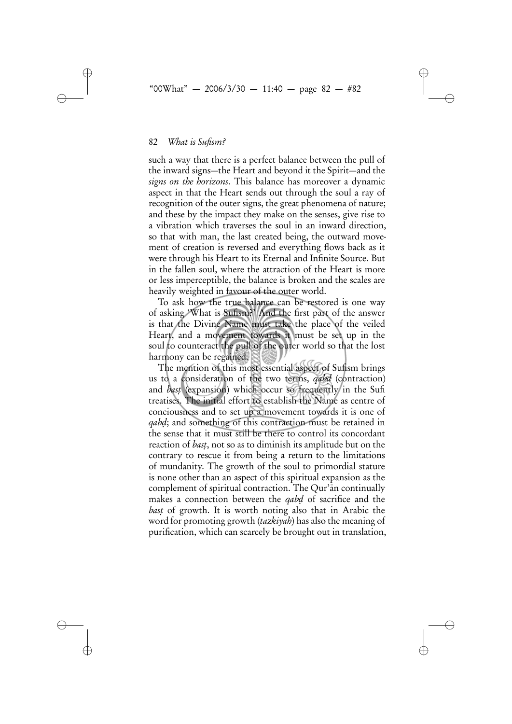such a way that there is a perfect balance between the pull of the inward signs—the Heart and beyond it the Spirit—and the *signs on the horizons*. This balance has moreover a dynamic aspect in that the Heart sends out through the soul a ray of recognition of the outer signs, the great phenomena of nature; and these by the impact they make on the senses, give rise to a vibration which traverses the soul in an inward direction, so that with man, the last created being, the outward movement of creation is reversed and everything flows back as it were through his Heart to its Eternal and Infinite Source. But in the fallen soul, where the attraction of the Heart is more or less imperceptible, the balance is broken and the scales are heavily weighted in favour of the outer world.

To ask how the true balance can be restored is one way of asking 'What is Sufism?' And the first part of the answer is that the Divine Name must take the place of the veiled Heart, and a movement towards it must be set up in the soul to counteract the pull of the outer world so that the lost harmony can be regained.

The mention of this most essential aspect of Sufism brings us to a consideration of the two terms, *qabd.* (contraction) and *bast* (expansion) which occur so frequently in the Sufi treatises. The initial effort to establish the Name as centre of conciousness and to set up a movement towards it is one of *qabd*; and something of this contraction must be retained in the sense that it must still be there to control its concordant reaction of *bast.*, not so as to diminish its amplitude but on the contrary to rescue it from being a return to the limitations of mundanity. The growth of the soul to primordial stature is none other than an aspect of this spiritual expansion as the complement of spiritual contraction. The Qur'an continually makes a connection between the *qabd* of sacrifice and the *bast.* of growth. It is worth noting also that in Arabic the word for promoting growth (*tazkiyah*) has also the meaning of purification, which can scarcely be brought out in translation,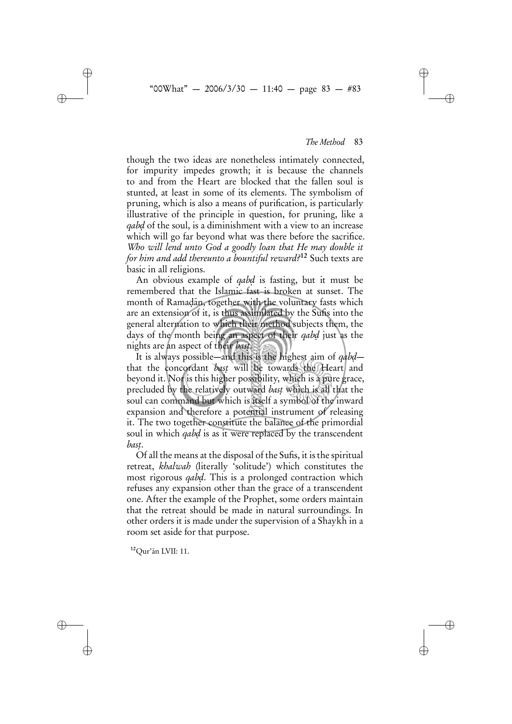though the two ideas are nonetheless intimately connected, for impurity impedes growth; it is because the channels to and from the Heart are blocked that the fallen soul is stunted, at least in some of its elements. The symbolism of pruning, which is also a means of purification, is particularly illustrative of the principle in question, for pruning, like a *qabd* of the soul, is a diminishment with a view to an increase which will go far beyond what was there before the sacrifice. *Who will lend unto God a goodly loan that He may double it for him and add thereunto a bountiful reward?*<sup>12</sup> Such texts are basic in all religions.

An obvious example of *qabd.* is fasting, but it must be remembered that the Islamic fast is broken at sunset. The month of Ramadan, together with the voluntary fasts which are an extension of it, is thus assimilated by the Sufis into the general alternation to which their method subjects them, the days of the month being an aspect of their *qabd* just as the nights are an aspect of their *bast.*.

It is always possible—and this is the highest aim of *qabd* that the concordant *bast* will be towards the Heart and beyond it. Nor is this higher possibility, which is a pure grace, precluded by the relatively outward *bast.* which is all that the soul can command but which is itself a symbol of the inward expansion and therefore a potential instrument of releasing it. The two together constitute the balance of the primordial soul in which *qabd* is as it were replaced by the transcendent *bast.*.

Of all the means at the disposal of the Sufis, it is the spiritual retreat, *khalwah* (literally 'solitude') which constitutes the most rigorous *qabd*. This is a prolonged contraction which refuses any expansion other than the grace of a transcendent one. After the example of the Prophet, some orders maintain that the retreat should be made in natural surroundings. In other orders it is made under the supervision of a Shaykh in a room set aside for that purpose.

 $12$ Qur'ān LVII: 11.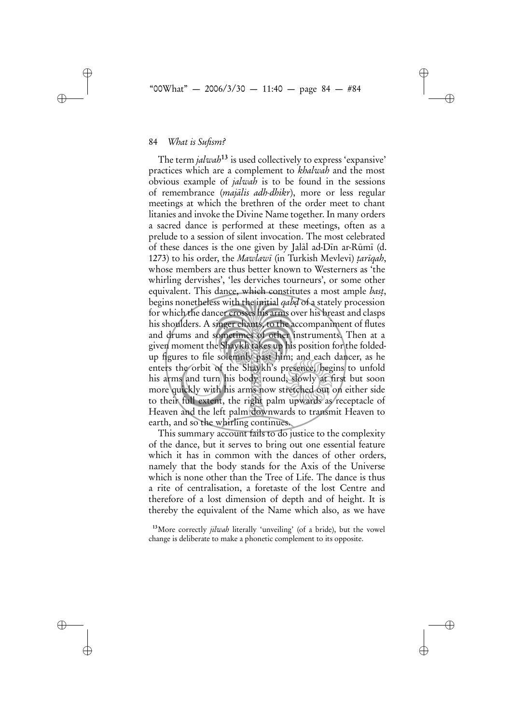## 84 *What is Sufism?*

The term *jalwah*<sup>13</sup> is used collectively to express 'expansive' practices which are a complement to *khalwah* and the most obvious example of *jalwah* is to be found in the sessions of remembrance (*majālis adh-dhikr*), more or less regular meetings at which the brethren of the order meet to chant litanies and invoke the Divine Name together. In many orders a sacred dance is performed at these meetings, often as a prelude to a session of silent invocation. The most celebrated of these dances is the one given by Jalal ad-Din ar-Rumi (d. 1273) to his order, the *Mawlawi* (in Turkish Mevlevi) *tarigah*, whose members are thus better known to Westerners as 'the whirling dervishes', 'les derviches tourneurs', or some other equivalent. This dance, which constitutes a most ample *bast.*, begins nonetheless with the initial *qabd.* of a stately procession for which the dancer crosses his arms over his breast and clasps his shoulders. A singer chants, to the accompaniment of flutes and drums and sometimes of other instruments. Then at a given moment the Shaykh takes up his position for the foldedup figures to file solemnly past him; and each dancer, as he enters the orbit of the Shaykh's presence, begins to unfold his arms and turn his body round, slowly at first but soon more quickly with his arms now stretched out on either side to their full extent, the right palm upwards as receptacle of Heaven and the left palm downwards to transmit Heaven to earth, and so the whirling continues.

This summary account fails to do justice to the complexity of the dance, but it serves to bring out one essential feature which it has in common with the dances of other orders, namely that the body stands for the Axis of the Universe which is none other than the Tree of Life. The dance is thus a rite of centralisation, a foretaste of the lost Centre and therefore of a lost dimension of depth and of height. It is thereby the equivalent of the Name which also, as we have

<sup>13</sup>More correctly *jilwah* literally 'unveiling' (of a bride), but the vowel change is deliberate to make a phonetic complement to its opposite.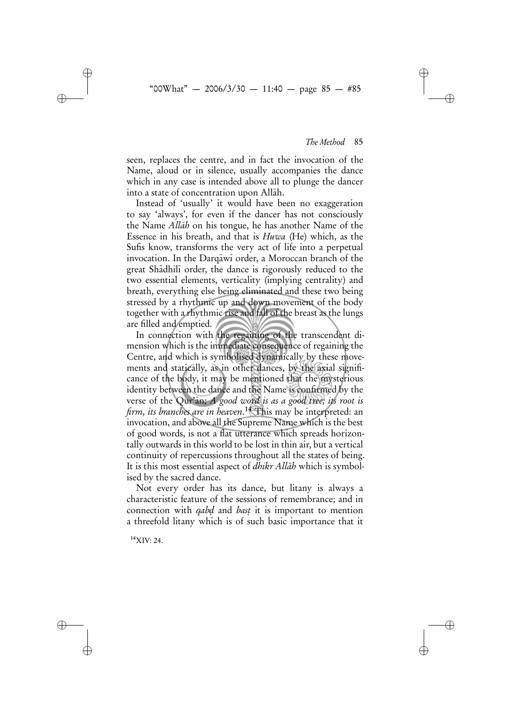seen, replaces the centre, and in fact the invocation of the Name, aloud or in silence, usually accompanies the dance which in any case is intended above all to plunge the dancer into a state of concentration upon Allah.

Instead of 'usually' it would have been no exaggeration to say 'always', for even if the dancer has not consciously the Name *Allah* on his tongue, he has another Name of the Essence in his breath, and that is *Huwa* (He) which, as the Sufis know, transforms the very act of life into a perpetual invocation. In the Darqawi order, a Moroccan branch of the great Shadhili order, the dance is rigorously reduced to the two essential elements, verticality (implying centrality) and breath, everything else being eliminated and these two being stressed by a rhythmic up and down movement of the body together with a rhythmic rise and fall of the breast as the lungs are filled and emptied.

In connection with the regaining of the transcendent dimension which is the immediate consequence of regaining the Centre, and which is symbolised dynamically by these movements and statically, as in other dances, by the axial significance of the body, it may be mentioned that the mysterious identity between the dance and the Name is confirmed by the verse of the Qur'an; *A good word is as a good tree; its root is firm, its branches are in heaven*. <sup>14</sup> This may be interpreted: an invocation, and above all the Supreme Name which is the best of good words, is not a flat utterance which spreads horizontally outwards in this world to be lost in thin air, but a vertical continuity of repercussions throughout all the states of being. It is this most essential aspect of *dhikr Allah* which is symbolised by the sacred dance.

Not every order has its dance, but litany is always a characteristic feature of the sessions of remembrance; and in connection with *qabd.* and *bast.* it is important to mention a threefold litany which is of such basic importance that it

<sup>14</sup>XIV: 24.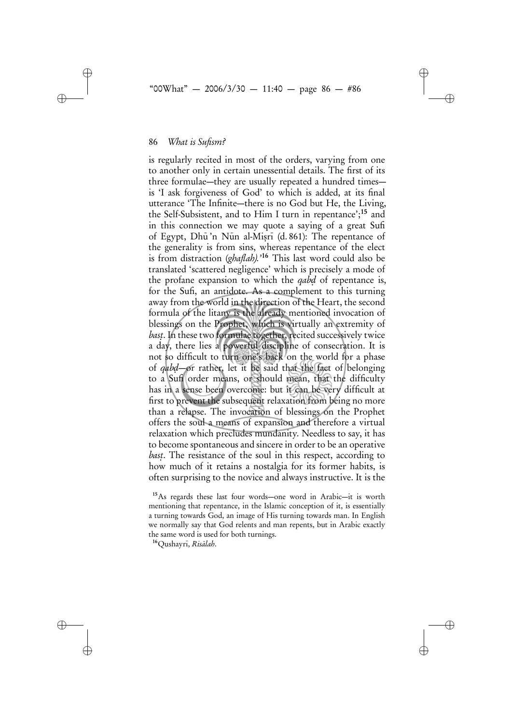is regularly recited in most of the orders, varying from one to another only in certain unessential details. The first of its three formulae—they are usually repeated a hundred times is 'I ask forgiveness of God' to which is added, at its final utterance 'The Infinite—there is no God but He, the Living, the Self-Subsistent, and to Him I turn in repentance';<sup>15</sup> and in this connection we may quote a saying of a great Sufi of Egypt, Dhū'n Nūn al-Misrī (d. 861): The repentance of the generality is from sins, whereas repentance of the elect is from distraction (*ghaflah).'*<sup>16</sup> This last word could also be translated 'scattered negligence' which is precisely a mode of the profane expansion to which the *qabd.* of repentance is, for the Sufi, an antidote. As a complement to this turning away from the world in the direction of the Heart, the second formula of the litany is the already mentioned invocation of blessings on the Prophet, which is virtually an extremity of *bast.*. In these two formulae together, recited successively twice a day, there lies a powerful discipline of consecration. It is not so difficult to turn one's back on the world for a phase of *qabd.* —or rather, let it be said that the fact of belonging to a Sufi order means, or should mean, that the difficulty has in a sense been overcome: but it can be very difficult at first to prevent the subsequent relaxation from being no more than a relapse. The invocation of blessings on the Prophet offers the soul a means of expansion and therefore a virtual relaxation which precludes mundanity. Needless to say, it has to become spontaneous and sincere in order to be an operative *bast.*. The resistance of the soul in this respect, according to how much of it retains a nostalgia for its former habits, is often surprising to the novice and always instructive. It is the

<sup>15</sup>As regards these last four words—one word in Arabic—it is worth mentioning that repentance, in the Islamic conception of it, is essentially a turning towards God, an image of His turning towards man. In English we normally say that God relents and man repents, but in Arabic exactly the same word is used for both turnings.

<sup>16</sup>Qushayrı, *Risalah*.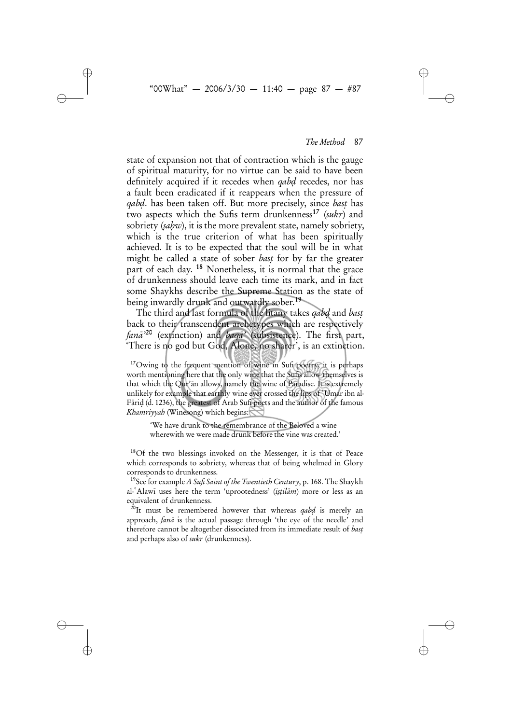state of expansion not that of contraction which is the gauge of spiritual maturity, for no virtue can be said to have been definitely acquired if it recedes when *qabd* recedes, nor has a fault been eradicated if it reappears when the pressure of *qabd.* has been taken off. But more precisely, since *bast* has two aspects which the Sufis term drunkenness<sup>17</sup> (*sukr*) and sobriety (*sahw*), it is the more prevalent state, namely sobriety, which is the true criterion of what has been spiritually achieved. It is to be expected that the soul will be in what might be called a state of sober *bast* for by far the greater part of each day. <sup>18</sup> Nonetheless, it is normal that the grace of drunkenness should leave each time its mark, and in fact some Shaykhs describe the Supreme Station as the state of being inwardly drunk and outwardly sober.<sup>19</sup>

The third and last formula of the litany takes *qabd* and *bast*.<br>back to their transcendent archetypes which are respectively *fanā*<sup>20</sup> (extinction) and *baqā*' (subsistence). The first part, 'There is no god but God, Alone, no sharer', is an extinction.

<sup>17</sup>Owing to the frequent mention of wine in Sufi poetry, it is perhaps worth mentioning here that the only wine that the Sufis allow themselves is that which the Qur'an allows, namely the wine of Paradise. It is extremely unlikely for example that earthly wine ever crossed the lips of 'Umar ibn al-Farid (d. 1236), the greatest of Arab Sufi poets and the author of the famous *Khamriyyah* (Winesong) which begins:

'We have drunk to the remembrance of the Beloved a wine wherewith we were made drunk before the vine was created.'

<sup>18</sup>Of the two blessings invoked on the Messenger, it is that of Peace which corresponds to sobriety, whereas that of being whelmed in Glory corresponds to drunkenness.

<sup>19</sup>See for example *A Sufi Saint of the Twentieth Century*, p. 168. The Shaykh al-<sup>c</sup>Alawī uses here the term 'uprootedness' (*istilām*) more or less as an equivalent of drunkenness.

<sup>20</sup>It must be remembered however that whereas *qabd* is merely an approach, *fana* is the actual passage through 'the eye of the needle' and therefore cannot be altogether dissociated from its immediate result of *bast.* and perhaps also of *sukr* (drunkenness).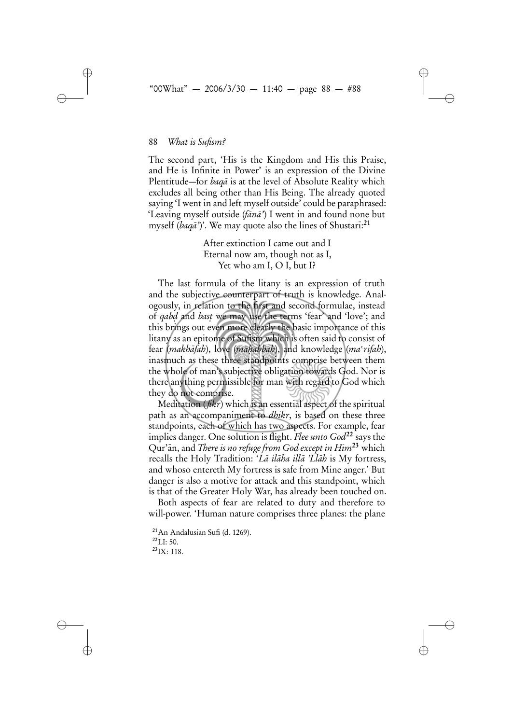The second part, 'His is the Kingdom and His this Praise, and He is Infinite in Power' is an expression of the Divine Plentitude—for *baqā* is at the level of Absolute Reality which excludes all being other than His Being. The already quoted saying 'I went in and left myself outside' could be paraphrased: 'Leaving myself outside (*fānā*') I went in and found none but myself (*baga*<sup>\*</sup>)'. We may quote also the lines of Shustari:<sup>21</sup>

> After extinction I came out and I Eternal now am, though not as I, Yet who am I, O I, but I?

The last formula of the litany is an expression of truth and the subjective counterpart of truth is knowledge. Analogously, in relation to the first and second formulae, instead of *qabd.* and *bast.* we may use the terms 'fear' and 'love'; and this brings out even more clearly the basic importance of this litany as an epitome of Sufism which is often said to consist of fear (*makh¯afah*), love (*mah. abbah*), and knowledge (*ma*,*rifah*), inasmuch as these three standpoints comprise between them the whole of man's subjective obligation towards God. Nor is there anything permissible for man with regard to God which they do not comprise.

Meditation ( *fikr*) which is an essential aspect of the spiritual path as an accompaniment to *dhikr*, is based on these three standpoints, each of which has two aspects. For example, fear implies danger. One solution is flight. *Flee unto God*<sup>22</sup> says the Qur'an, and *There is no refuge from God except in Him*<sup>23</sup> which recalls the Holy Tradition: '*Lā ilāha illā 'Llāh* is My fortress, and whoso entereth My fortress is safe from Mine anger.' But danger is also a motive for attack and this standpoint, which is that of the Greater Holy War, has already been touched on.

Both aspects of fear are related to duty and therefore to will-power. 'Human nature comprises three planes: the plane

<sup>21</sup>An Andalusian Sufi (d. 1269).  $^{22}$ LI: 50.  $^{23}$ IX: 118.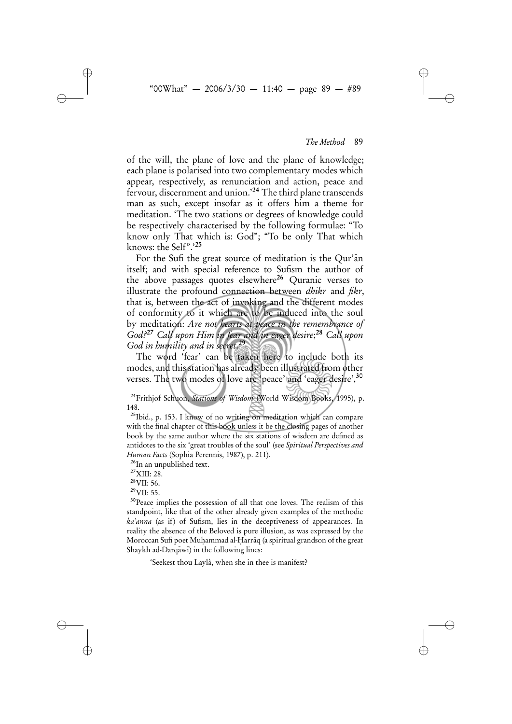of the will, the plane of love and the plane of knowledge; each plane is polarised into two complementary modes which appear, respectively, as renunciation and action, peace and fervour, discernment and union.'<sup>24</sup> The third plane transcends man as such, except insofar as it offers him a theme for meditation. 'The two stations or degrees of knowledge could be respectively characterised by the following formulae: "To know only That which is: God"; "To be only That which knows: the Self".'<sup>25</sup>

For the Sufi the great source of meditation is the Our'an itself; and with special reference to Sufism the author of the above passages quotes elsewhere<sup>26</sup> Quranic verses to illustrate the profound connection between *dhikr* and *fikr*, that is, between the act of invoking and the different modes of conformity to it which are to be induced into the soul by meditation: *Are not hearts at peace in the remembrance of God?*<sup>27</sup> *Call upon Him in fear and in eager desire*; <sup>28</sup> *Call upon God in humility and in secret*. 29

The word 'fear' can be taken here to include both its modes, and this station has already been illustrated from other verses. The two modes of love are 'peace' and 'eager desire',<sup>30</sup>

<sup>24</sup>Frithjof Schuon, *Stations of Wisdom* (World Wisdom Books, 1995), p. 148.

 $^{25}$ Ibid., p. 153. I know of no writing on meditation which can compare with the final chapter of this book unless it be the closing pages of another book by the same author where the six stations of wisdom are defined as antidotes to the six 'great troubles of the soul' (see *Spiritual Perspectives and Human Facts* (Sophia Perennis, 1987), p. 211).

<sup>26</sup>In an unpublished text.

<sup>27</sup>XIII: 28.

<sup>28</sup>VII: 56.

 $29$  VII: 55.

<sup>30</sup>Peace implies the possession of all that one loves. The realism of this standpoint, like that of the other already given examples of the methodic *ka'anna* (as if) of Sufism, lies in the deceptiveness of appearances. In reality the absence of the Beloved is pure illusion, as was expressed by the Moroccan Sufi poet Muhammad al-Harrāq (a spiritual grandson of the great Shaykh ad-Darqāwī) in the following lines:

'Seekest thou Laylà, when she in thee is manifest?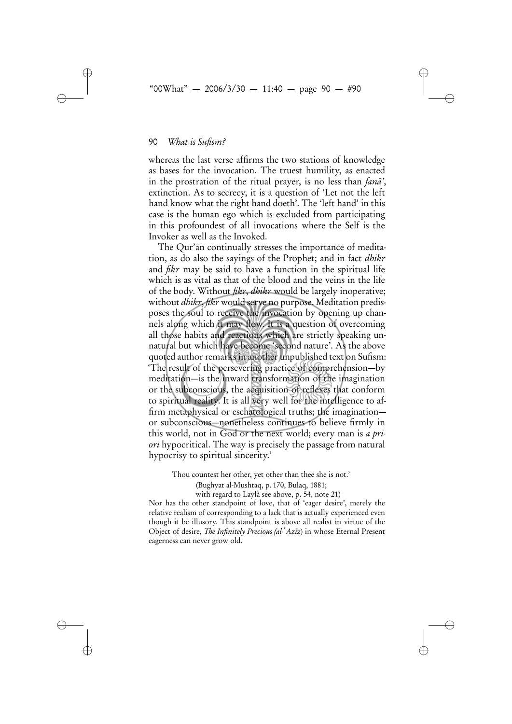whereas the last verse affirms the two stations of knowledge as bases for the invocation. The truest humility, as enacted in the prostration of the ritual prayer, is no less than *fana*', extinction. As to secrecy, it is a question of 'Let not the left hand know what the right hand doeth'. The 'left hand' in this case is the human ego which is excluded from participating in this profoundest of all invocations where the Self is the Invoker as well as the Invoked.

The Qur'an continually stresses the importance of meditation, as do also the sayings of the Prophet; and in fact *dhikr* and *fikr* may be said to have a function in the spiritual life which is as vital as that of the blood and the veins in the life of the body. Without *fikr*, *dhikr* would be largely inoperative; without *dhikr*, *fikr* would serve no purpose. Meditation predisposes the soul to receive the invocation by opening up channels along which it may flow. It is a question of overcoming all those habits and reactions which are strictly speaking unnatural but which have become 'second nature'. As the above quoted author remarks in another unpublished text on Sufism: 'The result of the persevering practice of comprehension—by meditation—is the inward transformation of the imagination or the subconscious, the acquisition of reflexes that conform to spiritual reality. It is all very well for the intelligence to affirm metaphysical or eschatological truths; the imagination or subconscious—nonetheless continues to believe firmly in this world, not in God or the next world; every man is *a priori* hypocritical. The way is precisely the passage from natural hypocrisy to spiritual sincerity.'

Thou countest her other, yet other than thee she is not.'

(Bughyat al-Mushtaq, p. 170, Bulaq, 1881;

with regard to Laylà see above, p. 54, note 21)

Nor has the other standpoint of love, that of 'eager desire', merely the relative realism of corresponding to a lack that is actually experienced even though it be illusory. This standpoint is above all realist in virtue of the Object of desire, *The Infinitely Precious (al* 'Azīz) in whose Eternal Present eagerness can never grow old.